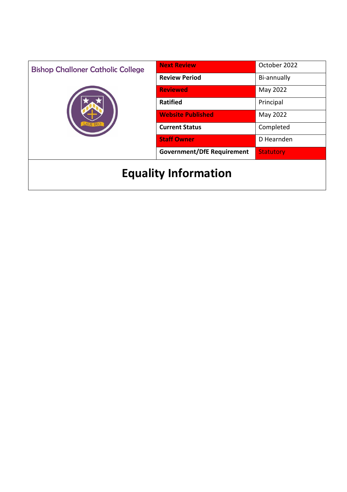| <b>Bishop Challoner Catholic College</b> | <b>Next Review</b>                | October 2022     |
|------------------------------------------|-----------------------------------|------------------|
|                                          | <b>Review Period</b>              | Bi-annually      |
|                                          | <b>Reviewed</b>                   | May 2022         |
|                                          | <b>Ratified</b>                   | Principal        |
|                                          | <b>Website Published</b>          | May 2022         |
|                                          | <b>Current Status</b>             | Completed        |
|                                          | <b>Staff Owner</b>                | D Hearnden       |
|                                          | <b>Government/DfE Requirement</b> | <b>Statutory</b> |
| <b>Equality Information</b>              |                                   |                  |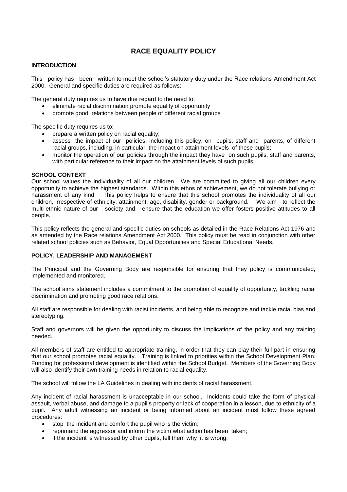# **RACE EQUALITY POLICY**

#### **INTRODUCTION**

This policy has been written to meet the school's statutory duty under the Race relations Amendment Act 2000. General and specific duties are required as follows:

The general duty requires us to have due regard to the need to:

- eliminate racial discrimination promote equality of opportunity
- promote good relations between people of different racial groups

The specific duty requires us to:

- prepare a written policy on racial equality;
- assess the impact of our policies, including this policy, on pupils, staff and parents, of different racial groups, including, in particular, the impact on attainment levels of these pupils;
- monitor the operation of our policies through the impact they have on such pupils, staff and parents, with particular reference to their impact on the attainment levels of such pupils.

# **SCHOOL CONTEXT**

Our school values the individuality of all our children. We are committed to giving all our children every opportunity to achieve the highest standards. Within this ethos of achievement, we do not tolerate bullying or harassment of any kind. This policy helps to ensure that this school promotes the individuality of all our children, irrespective of ethnicity, attainment, age, disability, gender or background. We aim to reflect the multi-ethnic nature of our society and ensure that the education we offer fosters positive attitudes to all people.

This policy reflects the general and specific duties on schools as detailed in the Race Relations Act 1976 and as amended by the Race relations Amendment Act 2000. This policy must be read in conjunction with other related school policies such as Behavior, Equal Opportunities and Special Educational Needs.

# **POLICY, LEADERSHIP AND MANAGEMENT**

The Principal and the Governing Body are responsible for ensuring that they policy is communicated, implemented and monitored.

The school aims statement includes a commitment to the promotion of equality of opportunity, tackling racial discrimination and promoting good race relations.

All staff are responsible for dealing with racist incidents, and being able to recognize and tackle racial bias and stereotyping.

Staff and governors will be given the opportunity to discuss the implications of the policy and any training needed.

All members of staff are entitled to appropriate training, in order that they can play their full part in ensuring that our school promotes racial equality. Training is linked to priorities within the School Development Plan. Funding for professional development is identified within the School Budget. Members of the Governing Body will also identify their own training needs in relation to racial equality.

The school will follow the LA Guidelines in dealing with incidents of racial harassment.

Any incident of racial harassment is unacceptable in our school. Incidents could take the form of physical assault, verbal abuse, and damage to a pupil's property or lack of cooperation in a lesson, due to ethnicity of a pupil. Any adult witnessing an incident or being informed about an incident must follow these agreed procedures:

- stop the incident and comfort the pupil who is the victim;
- reprimand the aggressor and inform the victim what action has been taken;
- if the incident is witnessed by other pupils, tell them why it is wrong;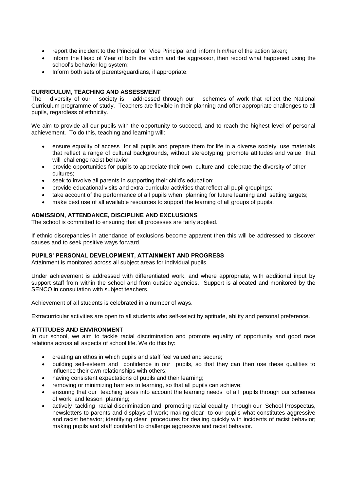- report the incident to the Principal or Vice Principal and inform him/her of the action taken;
- inform the Head of Year of both the victim and the aggressor, then record what happened using the school's behavior log system;
- Inform both sets of parents/guardians, if appropriate.

# **CURRICULUM, TEACHING AND ASSESSMENT**<br>The diversity of our society is addressed

diversity of our society is addressed through our schemes of work that reflect the National Curriculum programme of study. Teachers are flexible in their planning and offer appropriate challenges to all pupils, regardless of ethnicity.

We aim to provide all our pupils with the opportunity to succeed, and to reach the highest level of personal achievement. To do this, teaching and learning will:

- ensure equality of access for all pupils and prepare them for life in a diverse society; use materials that reflect a range of cultural backgrounds, without stereotyping; promote attitudes and value that will challenge racist behavior;
- provide opportunities for pupils to appreciate their own culture and celebrate the diversity of other cultures;
- seek to involve all parents in supporting their child's education;
- provide educational visits and extra-curricular activities that reflect all pupil groupings;
- take account of the performance of all pupils when planning for future learning and setting targets;
- make best use of all available resources to support the learning of all groups of pupils.

# **ADMISSION, ATTENDANCE, DISCIPLINE AND EXCLUSIONS**

The school is committed to ensuring that all processes are fairly applied.

If ethnic discrepancies in attendance of exclusions become apparent then this will be addressed to discover causes and to seek positive ways forward.

#### **PUPILS' PERSONAL DEVELOPMENT, ATTAINMENT AND PROGRESS**

Attainment is monitored across all subject areas for individual pupils.

Under achievement is addressed with differentiated work, and where appropriate, with additional input by support staff from within the school and from outside agencies. Support is allocated and monitored by the SENCO in consultation with subject teachers.

Achievement of all students is celebrated in a number of ways.

Extracurricular activities are open to all students who self-select by aptitude, ability and personal preference.

# **ATTITUDES AND ENVIRONMENT**

In our school, we aim to tackle racial discrimination and promote equality of opportunity and good race relations across all aspects of school life. We do this by:

- creating an ethos in which pupils and staff feel valued and secure;
- building self-esteem and confidence in our pupils, so that they can then use these qualities to influence their own relationships with others;
- having consistent expectations of pupils and their learning;
- removing or minimizing barriers to learning, so that all pupils can achieve;
- ensuring that our teaching takes into account the learning needs of all pupils through our schemes of work and lesson planning;
- actively tackling racial discrimination and promoting racial equality through our School Prospectus, newsletters to parents and displays of work; making clear to our pupils what constitutes aggressive and racist behavior; identifying clear procedures for dealing quickly with incidents of racist behavior; making pupils and staff confident to challenge aggressive and racist behavior.